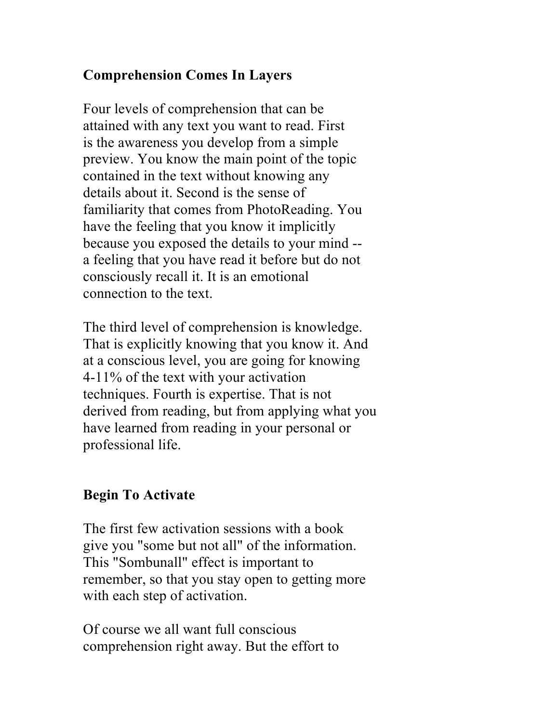## **Comprehension Comes In Layers**

Four levels of comprehension that can be attained with any text you want to read. First is the awareness you develop from a simple preview. You know the main point of the topic contained in the text without knowing any details about it. Second is the sense of familiarity that comes from PhotoReading. You have the feeling that you know it implicitly because you exposed the details to your mind - a feeling that you have read it before but do not consciously recall it. It is an emotional connection to the text.

The third level of comprehension is knowledge. That is explicitly knowing that you know it. And at a conscious level, you are going for knowing 4-11% of the text with your activation techniques. Fourth is expertise. That is not derived from reading, but from applying what you have learned from reading in your personal or professional life.

## **Begin To Activate**

The first few activation sessions with a book give you "some but not all" of the information. This "Sombunall" effect is important to remember, so that you stay open to getting more with each step of activation.

Of course we all want full conscious comprehension right away. But the effort to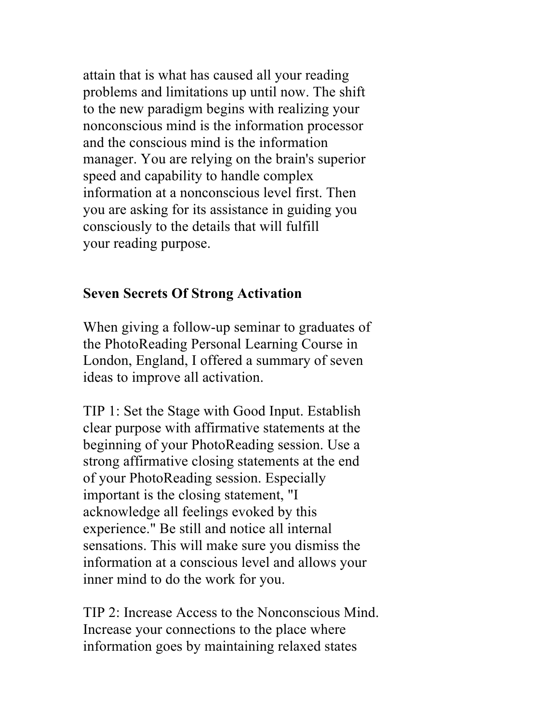attain that is what has caused all your reading problems and limitations up until now. The shift to the new paradigm begins with realizing your nonconscious mind is the information processor and the conscious mind is the information manager. You are relying on the brain's superior speed and capability to handle complex information at a nonconscious level first. Then you are asking for its assistance in guiding you consciously to the details that will fulfill your reading purpose.

## **Seven Secrets Of Strong Activation**

When giving a follow-up seminar to graduates of the PhotoReading Personal Learning Course in London, England, I offered a summary of seven ideas to improve all activation.

TIP 1: Set the Stage with Good Input. Establish clear purpose with affirmative statements at the beginning of your PhotoReading session. Use a strong affirmative closing statements at the end of your PhotoReading session. Especially important is the closing statement, "I acknowledge all feelings evoked by this experience." Be still and notice all internal sensations. This will make sure you dismiss the information at a conscious level and allows your inner mind to do the work for you.

TIP 2: Increase Access to the Nonconscious Mind. Increase your connections to the place where information goes by maintaining relaxed states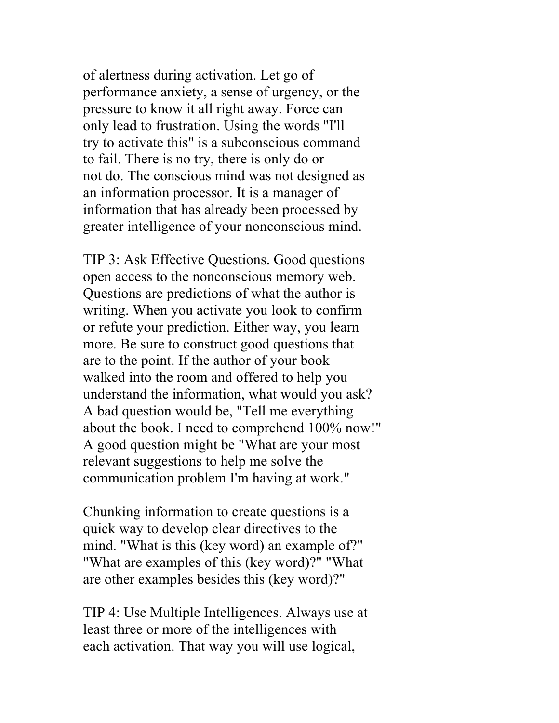of alertness during activation. Let go of performance anxiety, a sense of urgency, or the pressure to know it all right away. Force can only lead to frustration. Using the words "I'll try to activate this" is a subconscious command to fail. There is no try, there is only do or not do. The conscious mind was not designed as an information processor. It is a manager of information that has already been processed by greater intelligence of your nonconscious mind.

TIP 3: Ask Effective Questions. Good questions open access to the nonconscious memory web. Questions are predictions of what the author is writing. When you activate you look to confirm or refute your prediction. Either way, you learn more. Be sure to construct good questions that are to the point. If the author of your book walked into the room and offered to help you understand the information, what would you ask? A bad question would be, "Tell me everything about the book. I need to comprehend 100% now!" A good question might be "What are your most relevant suggestions to help me solve the communication problem I'm having at work."

Chunking information to create questions is a quick way to develop clear directives to the mind. "What is this (key word) an example of?" "What are examples of this (key word)?" "What are other examples besides this (key word)?"

TIP 4: Use Multiple Intelligences. Always use at least three or more of the intelligences with each activation. That way you will use logical,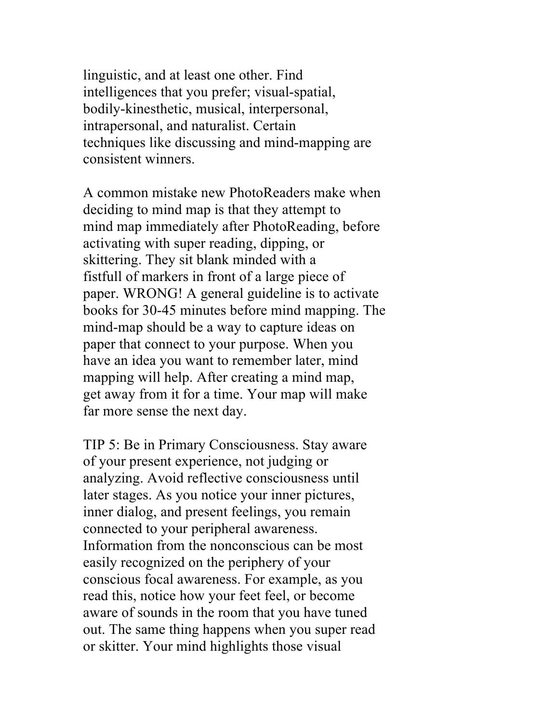linguistic, and at least one other. Find intelligences that you prefer; visual-spatial, bodily-kinesthetic, musical, interpersonal, intrapersonal, and naturalist. Certain techniques like discussing and mind-mapping are consistent winners.

A common mistake new PhotoReaders make when deciding to mind map is that they attempt to mind map immediately after PhotoReading, before activating with super reading, dipping, or skittering. They sit blank minded with a fistfull of markers in front of a large piece of paper. WRONG! A general guideline is to activate books for 30-45 minutes before mind mapping. The mind-map should be a way to capture ideas on paper that connect to your purpose. When you have an idea you want to remember later, mind mapping will help. After creating a mind map, get away from it for a time. Your map will make far more sense the next day.

TIP 5: Be in Primary Consciousness. Stay aware of your present experience, not judging or analyzing. Avoid reflective consciousness until later stages. As you notice your inner pictures, inner dialog, and present feelings, you remain connected to your peripheral awareness. Information from the nonconscious can be most easily recognized on the periphery of your conscious focal awareness. For example, as you read this, notice how your feet feel, or become aware of sounds in the room that you have tuned out. The same thing happens when you super read or skitter. Your mind highlights those visual